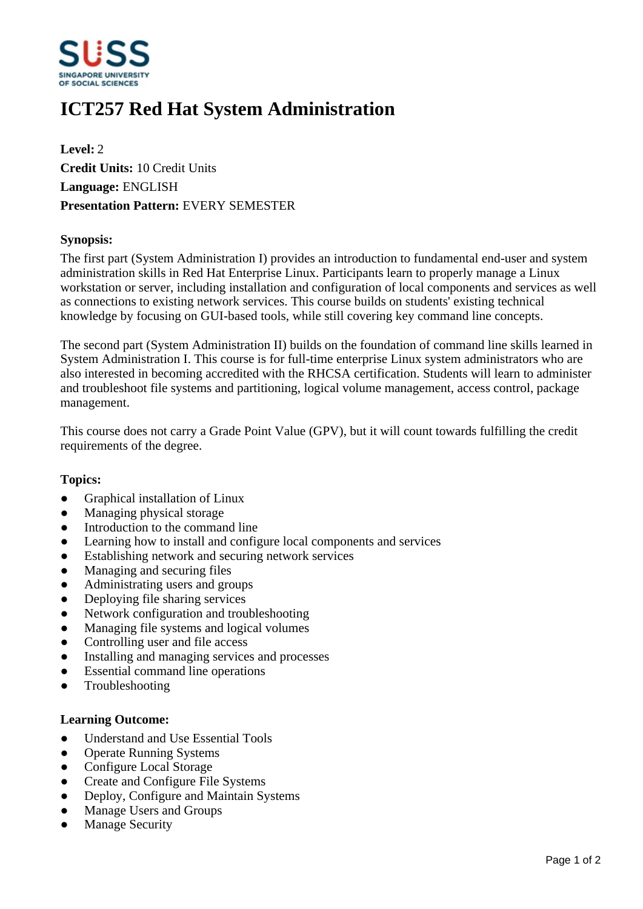

# **ICT257 Red Hat System Administration**

**Level:** 2 **Credit Units:** 10 Credit Units **Language:** ENGLISH **Presentation Pattern:** EVERY SEMESTER

### **Synopsis:**

The first part (System Administration I) provides an introduction to fundamental end-user and system administration skills in Red Hat Enterprise Linux. Participants learn to properly manage a Linux workstation or server, including installation and configuration of local components and services as well as connections to existing network services. This course builds on students' existing technical knowledge by focusing on GUI-based tools, while still covering key command line concepts.

The second part (System Administration II) builds on the foundation of command line skills learned in System Administration I. This course is for full-time enterprise Linux system administrators who are also interested in becoming accredited with the RHCSA certification. Students will learn to administer and troubleshoot file systems and partitioning, logical volume management, access control, package management.

This course does not carry a Grade Point Value (GPV), but it will count towards fulfilling the credit requirements of the degree.

#### **Topics:**

- ƔGraphical installation of Linux
- Managing physical storage
- Introduction to the command line
- Learning how to install and configure local components and services
- Establishing network and securing network services
- Managing and securing files
- ƔAdministrating users and groups
- Deploying file sharing services
- Network configuration and troubleshooting
- Managing file systems and logical volumes
- Controlling user and file access
- Installing and managing services and processes
- Essential command line operations
- Troubleshooting

#### **Learning Outcome:**

- Understand and Use Essential Tools
- Operate Running Systems
- Configure Local Storage
- Create and Configure File Systems
- Deploy, Configure and Maintain Systems
- Manage Users and Groups
- **Manage Security**